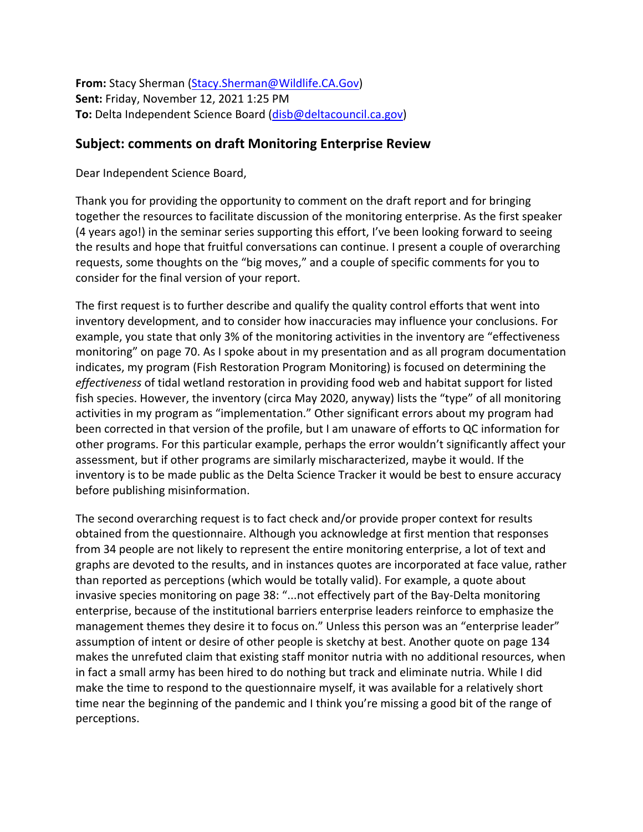**From:** Stacy Sherman [\(Stacy.Sherman@Wildlife.CA.Gov\)](mailto:Stacy.Sherman@Wildlife.CA.Gov) **Sent:** Friday, November 12, 2021 1:25 PM **To:** Delta Independent Science Board [\(disb@deltacouncil.ca.gov\)](mailto:disb@deltacouncil.ca.gov)

## **Subject: comments on draft Monitoring Enterprise Review**

Dear Independent Science Board,

Thank you for providing the opportunity to comment on the draft report and for bringing together the resources to facilitate discussion of the monitoring enterprise. As the first speaker (4 years ago!) in the seminar series supporting this effort, I've been looking forward to seeing the results and hope that fruitful conversations can continue. I present a couple of overarching requests, some thoughts on the "big moves," and a couple of specific comments for you to consider for the final version of your report.

The first request is to further describe and qualify the quality control efforts that went into inventory development, and to consider how inaccuracies may influence your conclusions. For example, you state that only 3% of the monitoring activities in the inventory are "effectiveness monitoring" on page 70. As I spoke about in my presentation and as all program documentation indicates, my program (Fish Restoration Program Monitoring) is focused on determining the *effectiveness* of tidal wetland restoration in providing food web and habitat support for listed fish species. However, the inventory (circa May 2020, anyway) lists the "type" of all monitoring activities in my program as "implementation." Other significant errors about my program had been corrected in that version of the profile, but I am unaware of efforts to QC information for other programs. For this particular example, perhaps the error wouldn't significantly affect your assessment, but if other programs are similarly mischaracterized, maybe it would. If the inventory is to be made public as the Delta Science Tracker it would be best to ensure accuracy before publishing misinformation.

The second overarching request is to fact check and/or provide proper context for results obtained from the questionnaire. Although you acknowledge at first mention that responses from 34 people are not likely to represent the entire monitoring enterprise, a lot of text and graphs are devoted to the results, and in instances quotes are incorporated at face value, rather than reported as perceptions (which would be totally valid). For example, a quote about invasive species monitoring on page 38: "...not effectively part of the Bay-Delta monitoring enterprise, because of the institutional barriers enterprise leaders reinforce to emphasize the management themes they desire it to focus on." Unless this person was an "enterprise leader" assumption of intent or desire of other people is sketchy at best. Another quote on page 134 makes the unrefuted claim that existing staff monitor nutria with no additional resources, when in fact a small army has been hired to do nothing but track and eliminate nutria. While I did make the time to respond to the questionnaire myself, it was available for a relatively short time near the beginning of the pandemic and I think you're missing a good bit of the range of perceptions.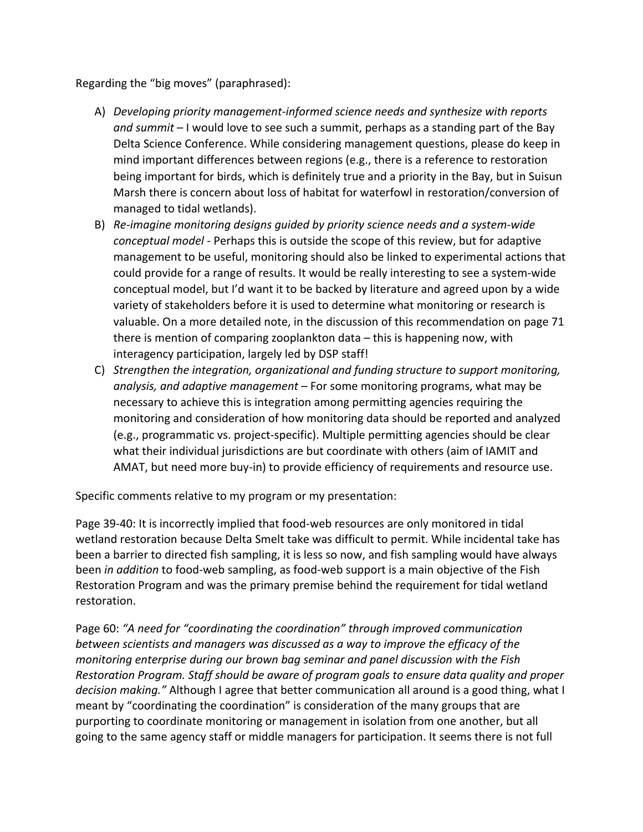Regarding the "big moves" (paraphrased):

- A) *Developing priority management-informed science needs and synthesize with reports and summit* – I would love to see such a summit, perhaps as a standing part of the Bay Delta Science Conference. While considering management questions, please do keep in mind important differences between regions (e.g., there is a reference to restoration being important for birds, which is definitely true and a priority in the Bay, but in Suisun Marsh there is concern about loss of habitat for waterfowl in restoration/conversion of managed to tidal wetlands).
- B) *Re-imagine monitoring designs guided by priority science needs and a system-wide conceptual model* - Perhaps this is outside the scope of this review, but for adaptive management to be useful, monitoring should also be linked to experimental actions that could provide for a range of results. It would be really interesting to see a system-wide conceptual model, but I'd want it to be backed by literature and agreed upon by a wide variety of stakeholders before it is used to determine what monitoring or research is valuable. On a more detailed note, in the discussion of this recommendation on page 71 there is mention of comparing zooplankton data – this is happening now, with interagency participation, largely led by DSP staff!
- C) *Strengthen the integration, organizational and funding structure to support monitoring, analysis, and adaptive management* – For some monitoring programs, what may be necessary to achieve this is integration among permitting agencies requiring the monitoring and consideration of how monitoring data should be reported and analyzed (e.g., programmatic vs. project-specific). Multiple permitting agencies should be clear what their individual jurisdictions are but coordinate with others (aim of IAMIT and AMAT, but need more buy-in) to provide efficiency of requirements and resource use.

Specific comments relative to my program or my presentation:

Page 39-40: It is incorrectly implied that food-web resources are only monitored in tidal wetland restoration because Delta Smelt take was difficult to permit. While incidental take has been a barrier to directed fish sampling, it is less so now, and fish sampling would have always been *in addition* to food-web sampling, as food-web support is a main objective of the Fish Restoration Program and was the primary premise behind the requirement for tidal wetland restoration.

Page 60: *"A need for "coordinating the coordination" through improved communication between scientists and managers was discussed as a way to improve the efficacy of the monitoring enterprise during our brown bag seminar and panel discussion with the Fish Restoration Program. Staff should be aware of program goals to ensure data quality and proper decision making."* Although I agree that better communication all around is a good thing, what I meant by "coordinating the coordination" is consideration of the many groups that are purporting to coordinate monitoring or management in isolation from one another, but all going to the same agency staff or middle managers for participation. It seems there is not full